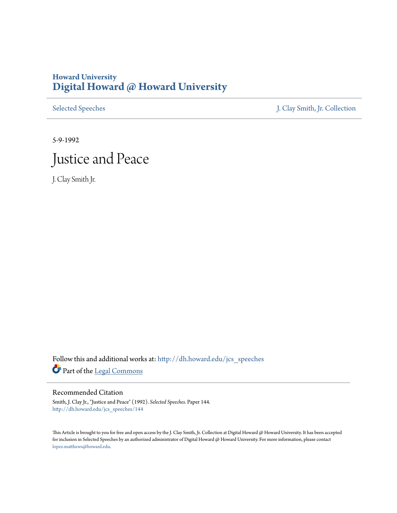## **Howard University [Digital Howard @ Howard University](http://dh.howard.edu?utm_source=dh.howard.edu%2Fjcs_speeches%2F144&utm_medium=PDF&utm_campaign=PDFCoverPages)**

[Selected Speeches](http://dh.howard.edu/jcs_speeches?utm_source=dh.howard.edu%2Fjcs_speeches%2F144&utm_medium=PDF&utm_campaign=PDFCoverPages) [J. Clay Smith, Jr. Collection](http://dh.howard.edu/jcsmith?utm_source=dh.howard.edu%2Fjcs_speeches%2F144&utm_medium=PDF&utm_campaign=PDFCoverPages)

5-9-1992

## Justice and Peace

J. Clay Smith Jr.

Follow this and additional works at: [http://dh.howard.edu/jcs\\_speeches](http://dh.howard.edu/jcs_speeches?utm_source=dh.howard.edu%2Fjcs_speeches%2F144&utm_medium=PDF&utm_campaign=PDFCoverPages) Part of the [Legal Commons](http://network.bepress.com/hgg/discipline/502?utm_source=dh.howard.edu%2Fjcs_speeches%2F144&utm_medium=PDF&utm_campaign=PDFCoverPages)

## Recommended Citation

Smith, J. Clay Jr., "Justice and Peace" (1992). *Selected Speeches.* Paper 144. [http://dh.howard.edu/jcs\\_speeches/144](http://dh.howard.edu/jcs_speeches/144?utm_source=dh.howard.edu%2Fjcs_speeches%2F144&utm_medium=PDF&utm_campaign=PDFCoverPages)

This Article is brought to you for free and open access by the J. Clay Smith, Jr. Collection at Digital Howard @ Howard University. It has been accepted for inclusion in Selected Speeches by an authorized administrator of Digital Howard @ Howard University. For more information, please contact [lopez.matthews@howard.edu.](mailto:lopez.matthews@howard.edu)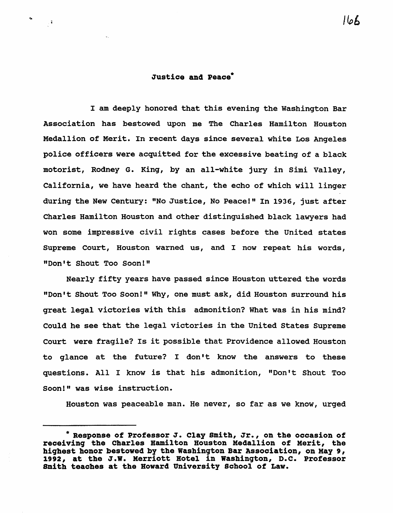## Justice and Peace<sup>\*</sup>

 $\sim 7$ 

I am deeply honored that this evening the Washington Bar Association has bestowed upon me The Charles Hamilton Houston Medallion of Merit. In recent days since several white Los Angeles police officers were acquitted for the excessive beating of a black motorist, Rodney G. King, by an all-white jury in Simi Valley, California, we have heard the chant, the echo of which will linger during the New century: "No Justice, No Peace!" In 1936, just after Charles Hamilton Houston and other distinguished black lawyers had won some impressive civil rights cases before the united states Supreme Court, Houston warned us, and I now repeat his words, "Don't Shout Too Soon!"

Nearly fifty years have passed since Houston uttered the words "Don't Shout Too Soon!" Why, one must ask, did Houston surround his great legal victories with this admonition? What was in his mind? Could he see that the legal victories in the united states Supreme Court were fragile? Is it possible that Providence allowed Houston to glance at the future? I don't know the answers to these questions. All I know is that his admonition, "Don't Shout Too Soon!" was wise instruction.

Houston was peaceable man. He never, so far as we know, urged

<sup>\*</sup> Response of Professor J. clay smith, Jr., on the occasion of receiving- the Charles Hamilton Houston Medallion of Merit, the highest honor bestowed by the Washington Bar Association, on May 9, 1992, at the J.W. Merriott Hotel in washington, D.C. Professor Smith teaches at the Howard University School of Law.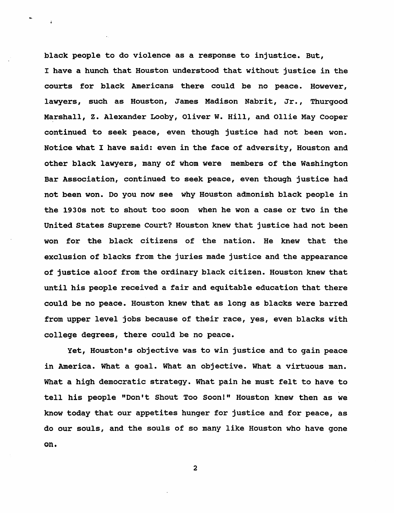black people to do violence as a response to injustice. But, I have a hunch that Houston understood that without justice in the courts for black Americans there could be no peace. However, lawyers, such as Houston, James Madison Nabrit, Jr., Thurgood Marshall, Z. Alexander Looby, Oliver W. Hill, and Ollie May Cooper continued to seek peace, even though justice had not been won. Notice what I have said: even in the face of adversity, Houston and other black lawyers, many of whom were members of the Washington Bar Association, continued to seek peace, even though justice had not been won. Do you now see why Houston admonish black people in the 1930s not to shout too soon when he won a case or two in the United States Supreme Court? Houston knew that justice had not been won for the black citizens of the nation. He knew that the exclusion of blacks from the juries made justice and the appearance of justice aloof from the ordinary black citizen. Houston knew that until his people received a fair and equitable education that there could be no peace. Houston knew that as long as blacks were barred from upper level jobs because of their race, yes, even blacks with college degrees, there could be no peace.

Yet, Houston's objective was to win justice and to gain peace in America. What a goal. What an objective. What a virtuous man. What a high democratic strategy. What pain he must felt to have to tell his people "Don't Shout Too Soon!" Houston knew then as we know today that our appetites hunger for justice and for peace, as do our souls, and the souls of so many like Houston who have gone on.

2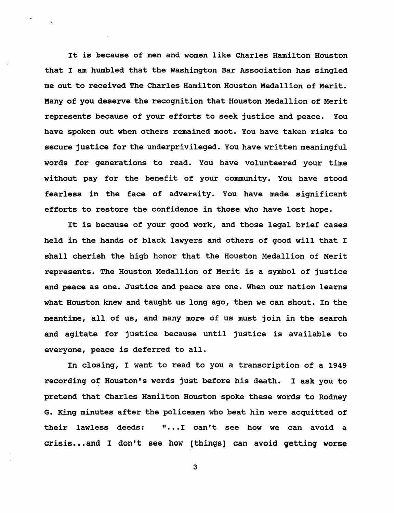It is because of men and women like Charles Hamilton Houston that I am humbled that the Washington Bar Association has singled me out to received The Charles Hamilton Houston Medallion of Merit. Many of you deserve the recognition that Houston Medallion of Merit represents because of your efforts to seek justice and peace. You have spoken out when others remained moot. You have taken risks to secure justice for the underprivileged. You have written meaningful words for generations to read. You have volunteered your time without pay for the benefit of your community. You have stood fearless in the face of adversity. You have made significant efforts to restore the confidence in those who have lost hope.

It is because of your good work, and those legal brief cases held in the hands of black lawyers and others of good will that I shall cherish the high honor that the Houston Medallion of Merit represents. The Houston Medallion of Merit is a symbol of justice and peace as one. Justice and peace are one. When our nation learns what Houston knew and taught us long ago, then we can shout. In the meantime, all of us, and many more of us must join in the search and agitate for justice because until justice is available to everyone, peace is deferred to all.

In closing, I want to read to you a transcription of a 1949 recording of Houston's words just before his death. I ask you to pretend that Charles Hamilton Houston spoke these words to Rodney G. King minutes after the policemen who beat him were acquitted of their lawless deeds: "...I can't see how we can avoid a crisis...and I don't see how [things] can avoid getting worse

3